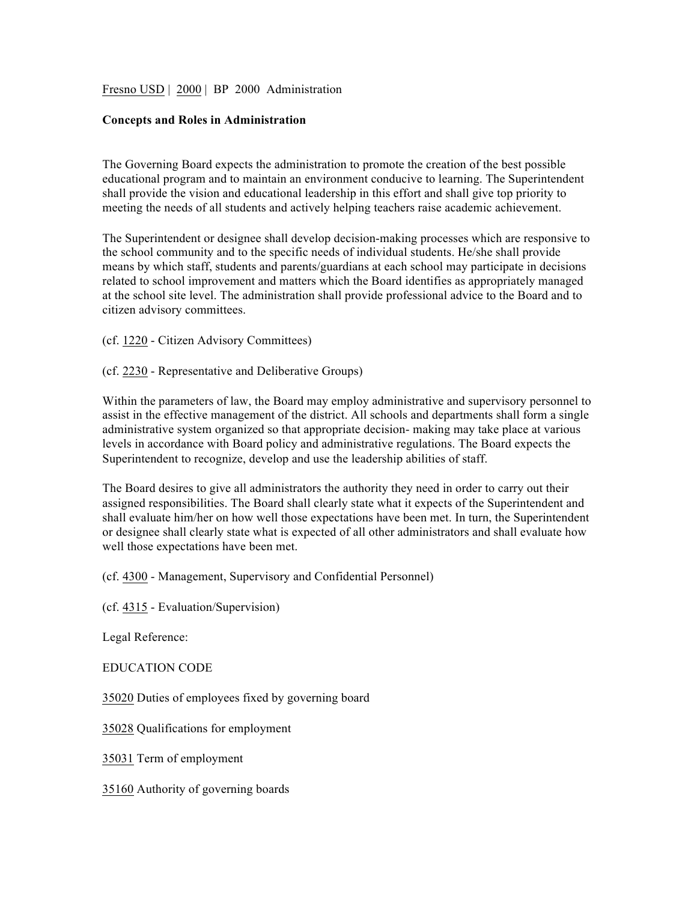Fresno USD | 2000 | BP 2000 Administration

## **Concepts and Roles in Administration**

The Governing Board expects the administration to promote the creation of the best possible educational program and to maintain an environment conducive to learning. The Superintendent shall provide the vision and educational leadership in this effort and shall give top priority to meeting the needs of all students and actively helping teachers raise academic achievement.

The Superintendent or designee shall develop decision-making processes which are responsive to the school community and to the specific needs of individual students. He/she shall provide means by which staff, students and parents/guardians at each school may participate in decisions related to school improvement and matters which the Board identifies as appropriately managed at the school site level. The administration shall provide professional advice to the Board and to citizen advisory committees.

(cf. 1220 - Citizen Advisory Committees)

(cf. 2230 - Representative and Deliberative Groups)

Within the parameters of law, the Board may employ administrative and supervisory personnel to assist in the effective management of the district. All schools and departments shall form a single administrative system organized so that appropriate decision- making may take place at various levels in accordance with Board policy and administrative regulations. The Board expects the Superintendent to recognize, develop and use the leadership abilities of staff.

The Board desires to give all administrators the authority they need in order to carry out their assigned responsibilities. The Board shall clearly state what it expects of the Superintendent and shall evaluate him/her on how well those expectations have been met. In turn, the Superintendent or designee shall clearly state what is expected of all other administrators and shall evaluate how well those expectations have been met.

(cf. 4300 - Management, Supervisory and Confidential Personnel)

(cf. 4315 - Evaluation/Supervision)

Legal Reference:

EDUCATION CODE

35020 Duties of employees fixed by governing board

35028 Qualifications for employment

35031 Term of employment

35160 Authority of governing boards